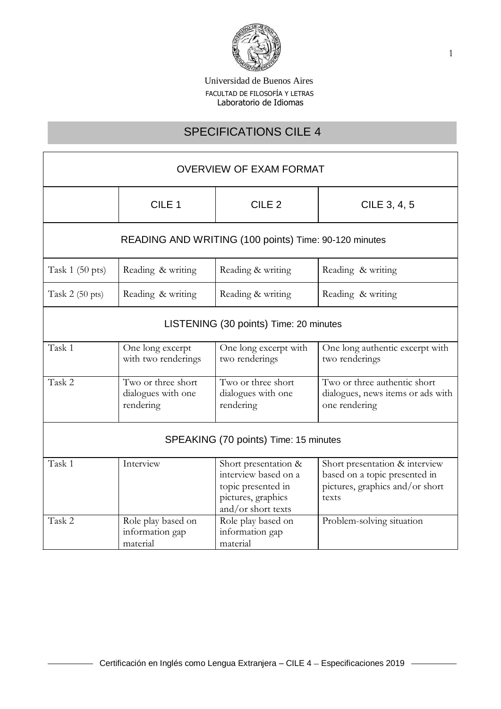

# SPECIFICATIONS CILE 4

| <b>OVERVIEW OF EXAM FORMAT</b>                        |                                                       |                                                                                                                |                                                                                                             |  |
|-------------------------------------------------------|-------------------------------------------------------|----------------------------------------------------------------------------------------------------------------|-------------------------------------------------------------------------------------------------------------|--|
|                                                       | CILE <sub>1</sub>                                     | CILE <sub>2</sub>                                                                                              | CILE 3, 4, 5                                                                                                |  |
| READING AND WRITING (100 points) Time: 90-120 minutes |                                                       |                                                                                                                |                                                                                                             |  |
| Task $1(50 \text{ pts})$                              | Reading & writing                                     | Reading & writing                                                                                              | Reading & writing                                                                                           |  |
| Task $2(50 \text{ pts})$                              | Reading & writing                                     | Reading & writing                                                                                              | Reading & writing                                                                                           |  |
| LISTENING (30 points) Time: 20 minutes                |                                                       |                                                                                                                |                                                                                                             |  |
| Task 1                                                | One long excerpt<br>with two renderings               | One long excerpt with<br>two renderings                                                                        | One long authentic excerpt with<br>two renderings                                                           |  |
| Task 2                                                | Two or three short<br>dialogues with one<br>rendering | Two or three short<br>dialogues with one<br>rendering                                                          | Two or three authentic short<br>dialogues, news items or ads with<br>one rendering                          |  |
| SPEAKING (70 points) Time: 15 minutes                 |                                                       |                                                                                                                |                                                                                                             |  |
| Task 1                                                | Interview                                             | Short presentation &<br>interview based on a<br>topic presented in<br>pictures, graphics<br>and/or short texts | Short presentation & interview<br>based on a topic presented in<br>pictures, graphics and/or short<br>texts |  |
| Task 2                                                | Role play based on<br>information gap<br>material     | Role play based on<br>information gap<br>material                                                              | Problem-solving situation                                                                                   |  |

 $\overline{\phantom{a}}$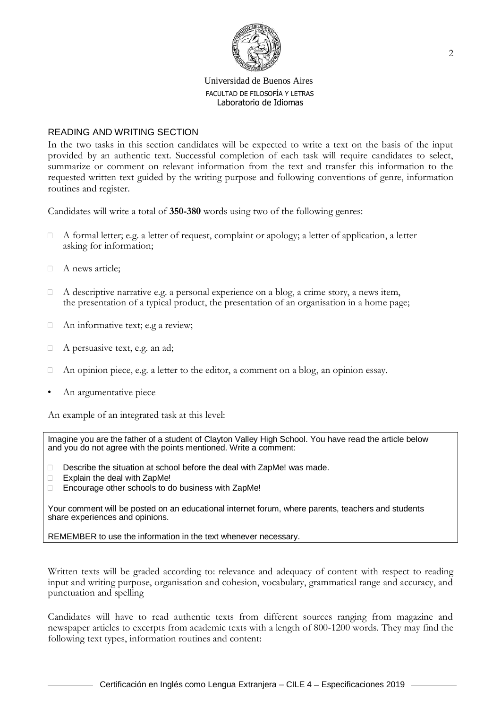

## READING AND WRITING SECTION

In the two tasks in this section candidates will be expected to write a text on the basis of the input provided by an authentic text. Successful completion of each task will require candidates to select, summarize or comment on relevant information from the text and transfer this information to the requested written text guided by the writing purpose and following conventions of genre, information routines and register.

Candidates will write a total of **350-380** words using two of the following genres:

- $\Box$  A formal letter; e.g. a letter of request, complaint or apology; a letter of application, a letter asking for information;
- A news article;
- $\Box$  A descriptive narrative e.g. a personal experience on a blog, a crime story, a news item, the presentation of a typical product, the presentation of an organisation in a home page;
- $\Box$  An informative text; e.g a review;
- □ A persuasive text, e.g. an ad;
- $\Box$  An opinion piece, e.g. a letter to the editor, a comment on a blog, an opinion essay.
- An argumentative piece

An example of an integrated task at this level:

Imagine you are the father of a student of Clayton Valley High School. You have read the article below and you do not agree with the points mentioned. Write a comment:

- Describe the situation at school before the deal with ZapMe! was made.
- $\Box$  Explain the deal with ZapMe!
- □ Encourage other schools to do business with ZapMe!

Your comment will be posted on an educational internet forum, where parents, teachers and students share experiences and opinions.

REMEMBER to use the information in the text whenever necessary.

Written texts will be graded according to: relevance and adequacy of content with respect to reading input and writing purpose, organisation and cohesion, vocabulary, grammatical range and accuracy, and punctuation and spelling

Candidates will have to read authentic texts from different sources ranging from magazine and newspaper articles to excerpts from academic texts with a length of 800-1200 words. They may find the following text types, information routines and content: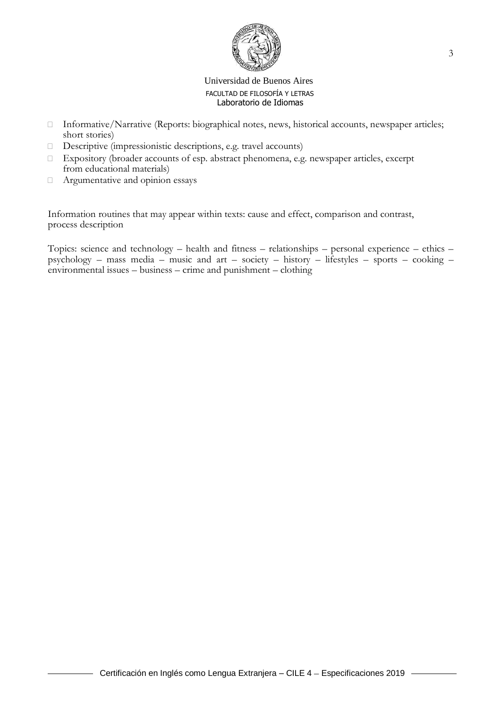

- □ Informative/Narrative (Reports: biographical notes, news, historical accounts, newspaper articles; short stories)
- $\Box$  Descriptive (impressionistic descriptions, e.g. travel accounts)
- Expository (broader accounts of esp. abstract phenomena, e.g. newspaper articles, excerpt from educational materials)
- Argumentative and opinion essays

Information routines that may appear within texts: cause and effect, comparison and contrast, process description

Topics: science and technology – health and fitness – relationships – personal experience – ethics – psychology – mass media – music and art – society – history – lifestyles – sports – cooking – environmental issues – business – crime and punishment – clothing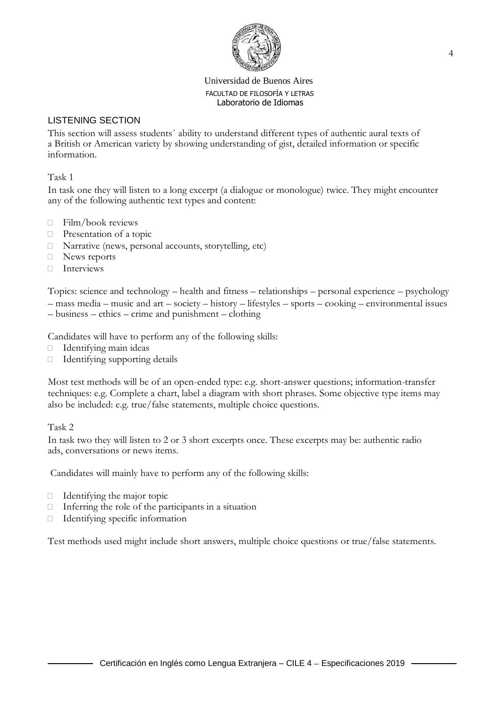

# LISTENING SECTION

This section will assess students´ ability to understand different types of authentic aural texts of a British or American variety by showing understanding of gist, detailed information or specific information.

# Task 1

In task one they will listen to a long excerpt (a dialogue or monologue) twice. They might encounter any of the following authentic text types and content:

- $\Box$  Film/book reviews
- **Presentation of a topic**
- $\Box$  Narrative (news, personal accounts, storytelling, etc)
- □ News reports
- Interviews

Topics: science and technology – health and fitness – relationships – personal experience – psychology – mass media – music and art – society – history – lifestyles – sports – cooking – environmental issues – business – ethics – crime and punishment – clothing

Candidates will have to perform any of the following skills:

- $\Box$  Identifying main ideas
- Identifying supporting details

Most test methods will be of an open-ended type: e.g. short-answer questions; information-transfer techniques: e.g. Complete a chart, label a diagram with short phrases. Some objective type items may also be included: e.g. true/false statements, multiple choice questions.

Task 2

In task two they will listen to 2 or 3 short excerpts once. These excerpts may be: authentic radio ads, conversations or news items.

Candidates will mainly have to perform any of the following skills:

- $\Box$  Identifying the major topic
- $\Box$  Inferring the role of the participants in a situation
- $\Box$  Identifying specific information

Test methods used might include short answers, multiple choice questions or true/false statements.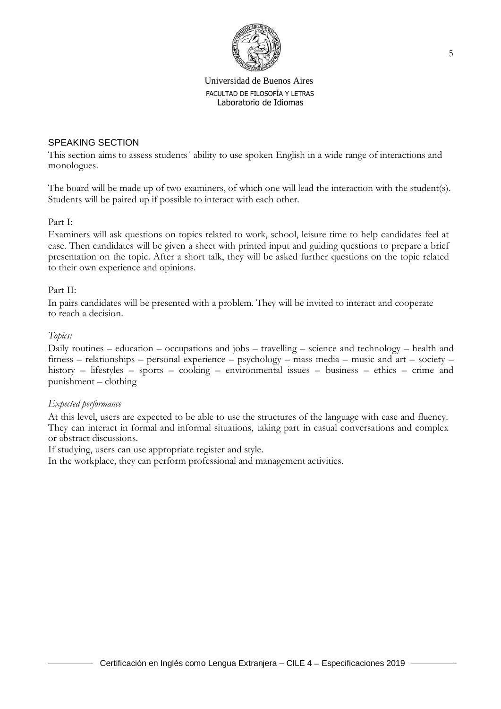

## SPEAKING SECTION

This section aims to assess students´ ability to use spoken English in a wide range of interactions and monologues.

The board will be made up of two examiners, of which one will lead the interaction with the student(s). Students will be paired up if possible to interact with each other.

Part I:

Examiners will ask questions on topics related to work, school, leisure time to help candidates feel at ease. Then candidates will be given a sheet with printed input and guiding questions to prepare a brief presentation on the topic. After a short talk, they will be asked further questions on the topic related to their own experience and opinions.

## Part II:

In pairs candidates will be presented with a problem. They will be invited to interact and cooperate to reach a decision.

#### *Topics:*

Daily routines – education – occupations and jobs – travelling – science and technology – health and fitness – relationships – personal experience – psychology – mass media – music and art – society – history – lifestyles – sports – cooking – environmental issues – business – ethics – crime and punishment – clothing

## *Expected performance*

At this level, users are expected to be able to use the structures of the language with ease and fluency. They can interact in formal and informal situations, taking part in casual conversations and complex or abstract discussions.

If studying, users can use appropriate register and style.

In the workplace, they can perform professional and management activities.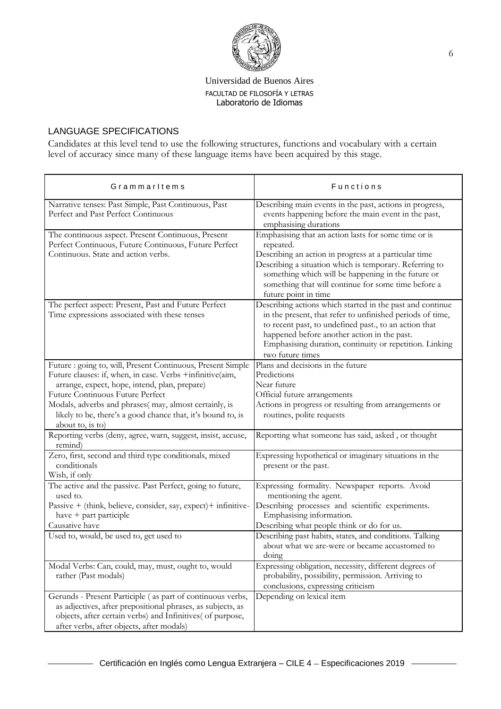

# LANGUAGE SPECIFICATIONS

Candidates at this level tend to use the following structures, functions and vocabulary with a certain level of accuracy since many of these language items have been acquired by this stage.

| Grammarltems                                                                                                                                                                                                                                                                                                                                              | Functions                                                                                                                                                                                                                                                                                                                  |
|-----------------------------------------------------------------------------------------------------------------------------------------------------------------------------------------------------------------------------------------------------------------------------------------------------------------------------------------------------------|----------------------------------------------------------------------------------------------------------------------------------------------------------------------------------------------------------------------------------------------------------------------------------------------------------------------------|
| Narrative tenses: Past Simple, Past Continuous, Past<br>Perfect and Past Perfect Continuous                                                                                                                                                                                                                                                               | Describing main events in the past, actions in progress,<br>events happening before the main event in the past,<br>emphasising durations                                                                                                                                                                                   |
| The continuous aspect. Present Continuous, Present<br>Perfect Continuous, Future Continuous, Future Perfect<br>Continuous. State and action verbs.                                                                                                                                                                                                        | Emphasising that an action lasts for some time or is<br>repeated.<br>Describing an action in progress at a particular time<br>Describing a situation which is temporary. Referring to<br>something which will be happening in the future or<br>something that will continue for some time before a<br>future point in time |
| The perfect aspect: Present, Past and Future Perfect<br>Time expressions associated with these tenses                                                                                                                                                                                                                                                     | Describing actions which started in the past and continue<br>in the present, that refer to unfinished periods of time,<br>to recent past, to undefined past., to an action that<br>happened before another action in the past.<br>Emphasising duration, continuity or repetition. Linking<br>two future times              |
| Future : going to, will, Present Continuous, Present Simple<br>Future clauses: if, when, in case. Verbs +infinitive(aim,<br>arrange, expect, hope, intend, plan, prepare)<br>Future Continuous Future Perfect<br>Modals, adverbs and phrases(may, almost certainly, is<br>likely to be, there's a good chance that, it's bound to, is<br>about to, is to) | Plans and decisions in the future<br>Predictions<br>Near future<br>Official future arrangements<br>Actions in progress or resulting from arrangements or<br>routines, polite requests                                                                                                                                      |
| Reporting verbs (deny, agree, warn, suggest, insist, accuse,<br>remind)                                                                                                                                                                                                                                                                                   | Reporting what someone has said, asked, or thought                                                                                                                                                                                                                                                                         |
| Zero, first, second and third type conditionals, mixed<br>conditionals<br>Wish, if only                                                                                                                                                                                                                                                                   | Expressing hypothetical or imaginary situations in the<br>present or the past.                                                                                                                                                                                                                                             |
| The active and the passive. Past Perfect, going to future,<br>used to.<br>Passive + (think, believe, consider, say, expect) + infinitive-<br>have + part participle<br>Causative have                                                                                                                                                                     | Expressing formality. Newspaper reports. Avoid<br>mentioning the agent.<br>Describing processes and scientific experiments.<br>Emphasising information.<br>Describing what people think or do for us.                                                                                                                      |
| Used to, would, be used to, get used to                                                                                                                                                                                                                                                                                                                   | Describing past habits, states, and conditions. Talking<br>about what we are-were or became accustomed to<br>doing                                                                                                                                                                                                         |
| Modal Verbs: Can, could, may, must, ought to, would<br>rather (Past modals)                                                                                                                                                                                                                                                                               | Expressing obligation, necessity, different degrees of<br>probability, possibility, permission. Arriving to<br>conclusions, expressing criticism                                                                                                                                                                           |
| Gerunds - Present Participle (as part of continuous verbs,<br>as adjectives, after prepositional phrases, as subjects, as<br>objects, after certain verbs) and Infinitives( of purpose,<br>after verbs, after objects, after modals)                                                                                                                      | Depending on lexical item                                                                                                                                                                                                                                                                                                  |